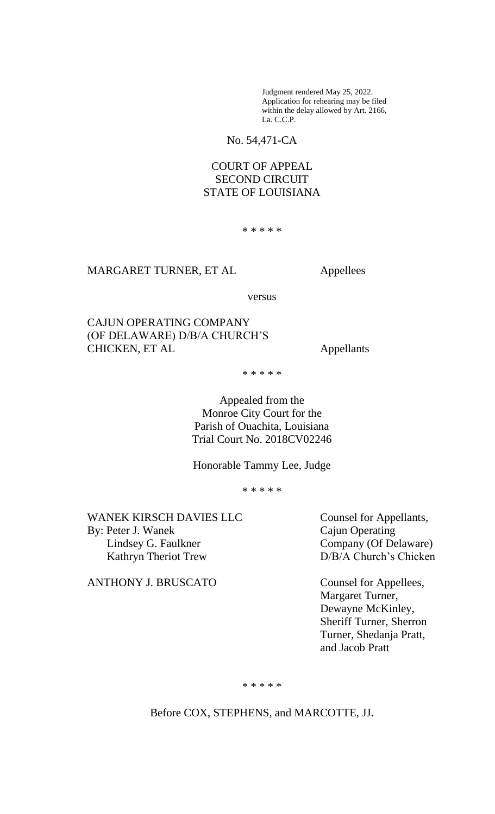Judgment rendered May 25, 2022. Application for rehearing may be filed within the delay allowed by Art. 2166, La. C.C.P.

No. 54,471-CA

# COURT OF APPEAL SECOND CIRCUIT STATE OF LOUISIANA

\* \* \* \* \*

### MARGARET TURNER, ET AL Appellees

versus

CAJUN OPERATING COMPANY (OF DELAWARE) D/B/A CHURCH'S CHICKEN, ET AL Appellants

\* \* \* \* \*

Appealed from the Monroe City Court for the Parish of Ouachita, Louisiana Trial Court No. 2018CV02246

Honorable Tammy Lee, Judge

\* \* \* \* \*

WANEK KIRSCH DAVIES LLC<br>
Counsel for Appellants, By: Peter J. Wanek Cajun Operating Lindsey G. Faulkner Company (Of Delaware) Kathryn Theriot Trew D/B/A Church's Chicken

ANTHONY J. BRUSCATO Counsel for Appellees,

Margaret Turner, Dewayne McKinley, Sheriff Turner, Sherron Turner, Shedanja Pratt, and Jacob Pratt

\* \* \* \* \*

Before COX, STEPHENS, and MARCOTTE*,* JJ.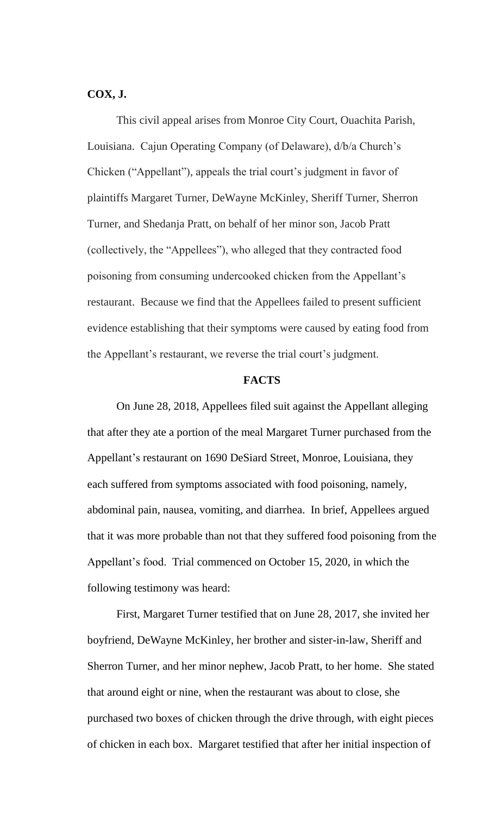# **COX, J.**

This civil appeal arises from Monroe City Court, Ouachita Parish, Louisiana. Cajun Operating Company (of Delaware), d/b/a Church's Chicken ("Appellant"), appeals the trial court's judgment in favor of plaintiffs Margaret Turner, DeWayne McKinley, Sheriff Turner, Sherron Turner, and Shedanja Pratt, on behalf of her minor son, Jacob Pratt (collectively, the "Appellees"), who alleged that they contracted food poisoning from consuming undercooked chicken from the Appellant's restaurant. Because we find that the Appellees failed to present sufficient evidence establishing that their symptoms were caused by eating food from the Appellant's restaurant, we reverse the trial court's judgment.

### **FACTS**

On June 28, 2018, Appellees filed suit against the Appellant alleging that after they ate a portion of the meal Margaret Turner purchased from the Appellant's restaurant on 1690 DeSiard Street, Monroe, Louisiana, they each suffered from symptoms associated with food poisoning, namely, abdominal pain, nausea, vomiting, and diarrhea. In brief, Appellees argued that it was more probable than not that they suffered food poisoning from the Appellant's food. Trial commenced on October 15, 2020, in which the following testimony was heard:

First, Margaret Turner testified that on June 28, 2017, she invited her boyfriend, DeWayne McKinley, her brother and sister-in-law, Sheriff and Sherron Turner, and her minor nephew, Jacob Pratt, to her home. She stated that around eight or nine, when the restaurant was about to close, she purchased two boxes of chicken through the drive through, with eight pieces of chicken in each box. Margaret testified that after her initial inspection of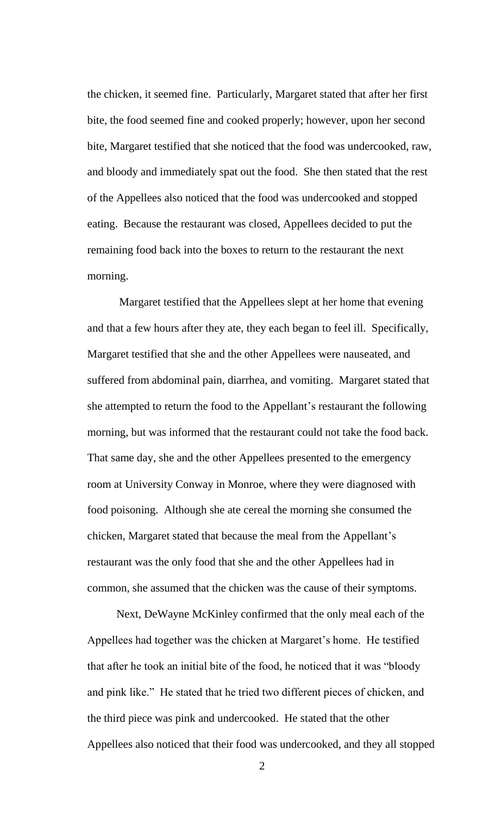the chicken, it seemed fine. Particularly, Margaret stated that after her first bite, the food seemed fine and cooked properly; however, upon her second bite, Margaret testified that she noticed that the food was undercooked, raw, and bloody and immediately spat out the food. She then stated that the rest of the Appellees also noticed that the food was undercooked and stopped eating. Because the restaurant was closed, Appellees decided to put the remaining food back into the boxes to return to the restaurant the next morning.

Margaret testified that the Appellees slept at her home that evening and that a few hours after they ate, they each began to feel ill. Specifically, Margaret testified that she and the other Appellees were nauseated, and suffered from abdominal pain, diarrhea, and vomiting. Margaret stated that she attempted to return the food to the Appellant's restaurant the following morning, but was informed that the restaurant could not take the food back. That same day, she and the other Appellees presented to the emergency room at University Conway in Monroe, where they were diagnosed with food poisoning. Although she ate cereal the morning she consumed the chicken, Margaret stated that because the meal from the Appellant's restaurant was the only food that she and the other Appellees had in common, she assumed that the chicken was the cause of their symptoms.

Next, DeWayne McKinley confirmed that the only meal each of the Appellees had together was the chicken at Margaret's home. He testified that after he took an initial bite of the food, he noticed that it was "bloody and pink like." He stated that he tried two different pieces of chicken, and the third piece was pink and undercooked. He stated that the other Appellees also noticed that their food was undercooked, and they all stopped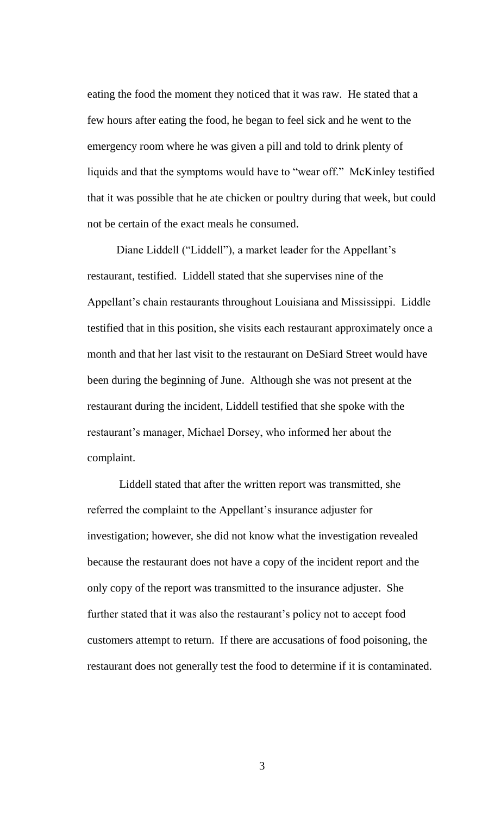eating the food the moment they noticed that it was raw. He stated that a few hours after eating the food, he began to feel sick and he went to the emergency room where he was given a pill and told to drink plenty of liquids and that the symptoms would have to "wear off." McKinley testified that it was possible that he ate chicken or poultry during that week, but could not be certain of the exact meals he consumed.

Diane Liddell ("Liddell"), a market leader for the Appellant's restaurant, testified. Liddell stated that she supervises nine of the Appellant's chain restaurants throughout Louisiana and Mississippi. Liddle testified that in this position, she visits each restaurant approximately once a month and that her last visit to the restaurant on DeSiard Street would have been during the beginning of June. Although she was not present at the restaurant during the incident, Liddell testified that she spoke with the restaurant's manager, Michael Dorsey, who informed her about the complaint.

Liddell stated that after the written report was transmitted, she referred the complaint to the Appellant's insurance adjuster for investigation; however, she did not know what the investigation revealed because the restaurant does not have a copy of the incident report and the only copy of the report was transmitted to the insurance adjuster. She further stated that it was also the restaurant's policy not to accept food customers attempt to return. If there are accusations of food poisoning, the restaurant does not generally test the food to determine if it is contaminated.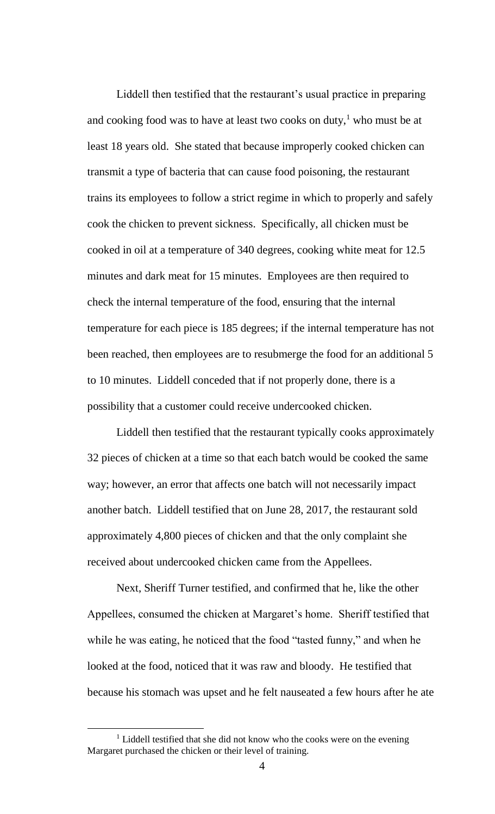Liddell then testified that the restaurant's usual practice in preparing and cooking food was to have at least two cooks on duty,<sup>1</sup> who must be at least 18 years old. She stated that because improperly cooked chicken can transmit a type of bacteria that can cause food poisoning, the restaurant trains its employees to follow a strict regime in which to properly and safely cook the chicken to prevent sickness. Specifically, all chicken must be cooked in oil at a temperature of 340 degrees, cooking white meat for 12.5 minutes and dark meat for 15 minutes. Employees are then required to check the internal temperature of the food, ensuring that the internal temperature for each piece is 185 degrees; if the internal temperature has not been reached, then employees are to resubmerge the food for an additional 5 to 10 minutes. Liddell conceded that if not properly done, there is a possibility that a customer could receive undercooked chicken.

Liddell then testified that the restaurant typically cooks approximately 32 pieces of chicken at a time so that each batch would be cooked the same way; however, an error that affects one batch will not necessarily impact another batch. Liddell testified that on June 28, 2017, the restaurant sold approximately 4,800 pieces of chicken and that the only complaint she received about undercooked chicken came from the Appellees.

Next, Sheriff Turner testified, and confirmed that he, like the other Appellees, consumed the chicken at Margaret's home. Sheriff testified that while he was eating, he noticed that the food "tasted funny," and when he looked at the food, noticed that it was raw and bloody. He testified that because his stomach was upset and he felt nauseated a few hours after he ate

l

<sup>&</sup>lt;sup>1</sup> Liddell testified that she did not know who the cooks were on the evening Margaret purchased the chicken or their level of training.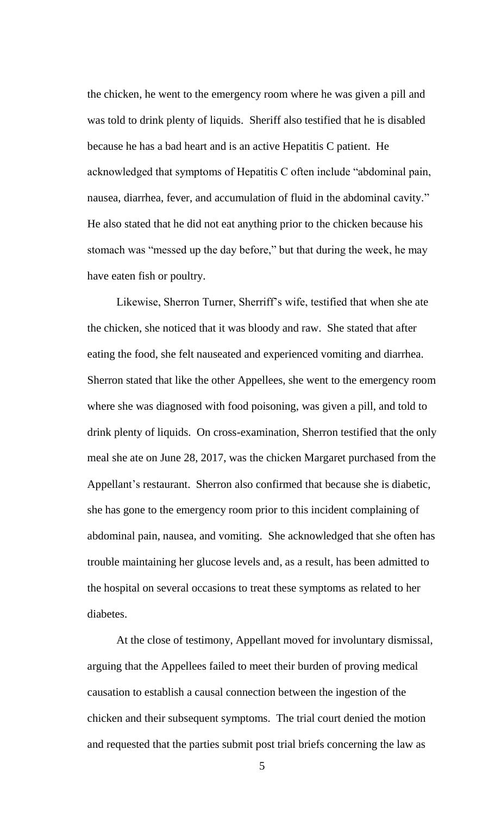the chicken, he went to the emergency room where he was given a pill and was told to drink plenty of liquids. Sheriff also testified that he is disabled because he has a bad heart and is an active Hepatitis C patient. He acknowledged that symptoms of Hepatitis C often include "abdominal pain, nausea, diarrhea, fever, and accumulation of fluid in the abdominal cavity." He also stated that he did not eat anything prior to the chicken because his stomach was "messed up the day before," but that during the week, he may have eaten fish or poultry.

Likewise, Sherron Turner, Sherriff's wife, testified that when she ate the chicken, she noticed that it was bloody and raw. She stated that after eating the food, she felt nauseated and experienced vomiting and diarrhea. Sherron stated that like the other Appellees, she went to the emergency room where she was diagnosed with food poisoning, was given a pill, and told to drink plenty of liquids. On cross-examination, Sherron testified that the only meal she ate on June 28, 2017, was the chicken Margaret purchased from the Appellant's restaurant. Sherron also confirmed that because she is diabetic, she has gone to the emergency room prior to this incident complaining of abdominal pain, nausea, and vomiting. She acknowledged that she often has trouble maintaining her glucose levels and, as a result, has been admitted to the hospital on several occasions to treat these symptoms as related to her diabetes.

At the close of testimony, Appellant moved for involuntary dismissal, arguing that the Appellees failed to meet their burden of proving medical causation to establish a causal connection between the ingestion of the chicken and their subsequent symptoms. The trial court denied the motion and requested that the parties submit post trial briefs concerning the law as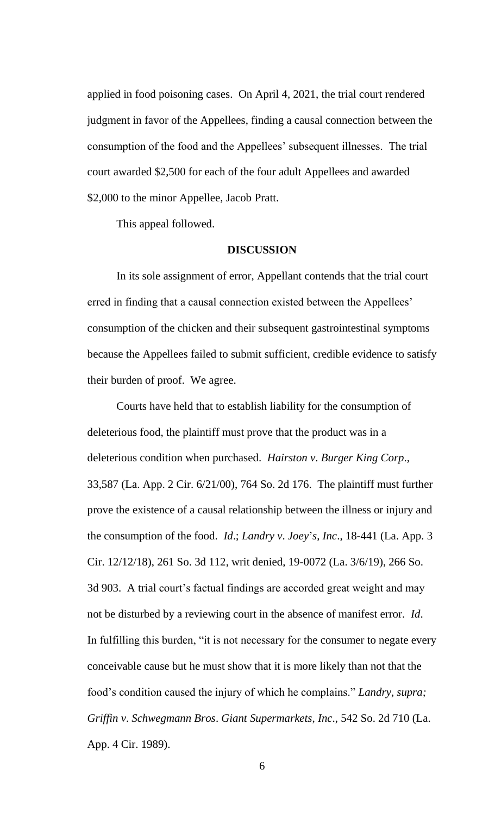applied in food poisoning cases. On April 4, 2021, the trial court rendered judgment in favor of the Appellees, finding a causal connection between the consumption of the food and the Appellees' subsequent illnesses. The trial court awarded \$2,500 for each of the four adult Appellees and awarded \$2,000 to the minor Appellee, Jacob Pratt.

This appeal followed.

#### **DISCUSSION**

In its sole assignment of error, Appellant contends that the trial court erred in finding that a causal connection existed between the Appellees' consumption of the chicken and their subsequent gastrointestinal symptoms because the Appellees failed to submit sufficient, credible evidence to satisfy their burden of proof. We agree.

Courts have held that to establish liability for the consumption of deleterious food, the plaintiff must prove that the product was in a deleterious condition when purchased. *Hairston v*. *Burger King Corp*., 33,587 (La. App. 2 Cir. 6/21/00), 764 So. 2d 176. The plaintiff must further prove the existence of a causal relationship between the illness or injury and the consumption of the food. *Id*.; *Landry v*. *Joey*'*s*, *Inc*., 18-441 (La. App. 3 Cir. 12/12/18), 261 So. 3d 112, writ denied, 19-0072 (La. 3/6/19), 266 So. 3d 903. A trial court's factual findings are accorded great weight and may not be disturbed by a reviewing court in the absence of manifest error. *Id*. In fulfilling this burden, "it is not necessary for the consumer to negate every conceivable cause but he must show that it is more likely than not that the food's condition caused the injury of which he complains." *Landry*, *supra; Griffin v*. *Schwegmann Bros*. *Giant Supermarkets*, *Inc*., 542 So. 2d 710 (La. App. 4 Cir. 1989).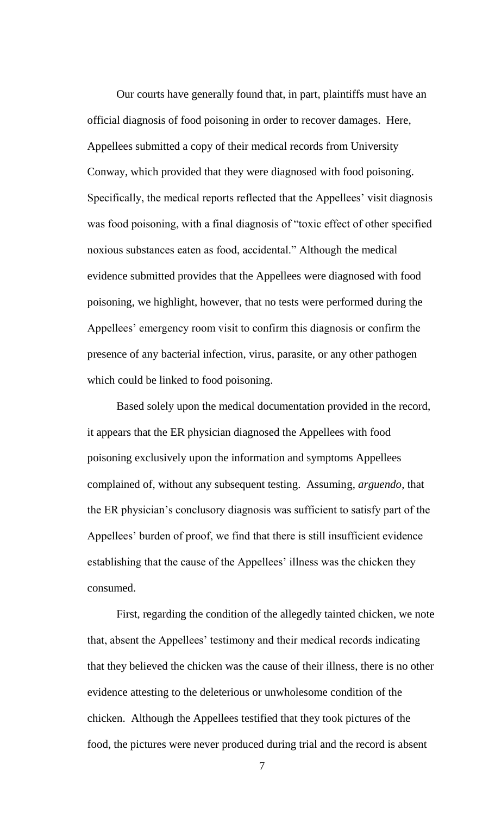Our courts have generally found that, in part, plaintiffs must have an official diagnosis of food poisoning in order to recover damages. Here, Appellees submitted a copy of their medical records from University Conway, which provided that they were diagnosed with food poisoning. Specifically, the medical reports reflected that the Appellees' visit diagnosis was food poisoning, with a final diagnosis of "toxic effect of other specified noxious substances eaten as food, accidental." Although the medical evidence submitted provides that the Appellees were diagnosed with food poisoning, we highlight, however, that no tests were performed during the Appellees' emergency room visit to confirm this diagnosis or confirm the presence of any bacterial infection, virus, parasite, or any other pathogen which could be linked to food poisoning.

Based solely upon the medical documentation provided in the record, it appears that the ER physician diagnosed the Appellees with food poisoning exclusively upon the information and symptoms Appellees complained of, without any subsequent testing. Assuming, *arguendo*, that the ER physician's conclusory diagnosis was sufficient to satisfy part of the Appellees' burden of proof, we find that there is still insufficient evidence establishing that the cause of the Appellees' illness was the chicken they consumed.

First, regarding the condition of the allegedly tainted chicken, we note that, absent the Appellees' testimony and their medical records indicating that they believed the chicken was the cause of their illness, there is no other evidence attesting to the deleterious or unwholesome condition of the chicken. Although the Appellees testified that they took pictures of the food, the pictures were never produced during trial and the record is absent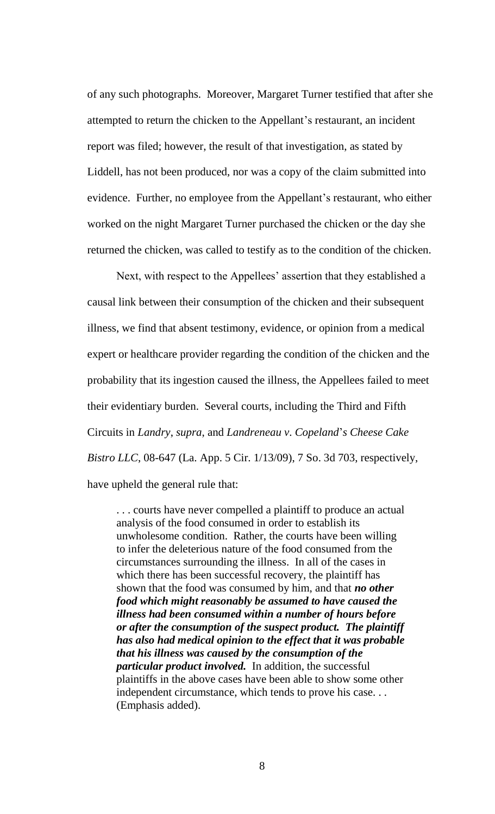of any such photographs. Moreover, Margaret Turner testified that after she attempted to return the chicken to the Appellant's restaurant, an incident report was filed; however, the result of that investigation, as stated by Liddell, has not been produced, nor was a copy of the claim submitted into evidence. Further, no employee from the Appellant's restaurant, who either worked on the night Margaret Turner purchased the chicken or the day she returned the chicken, was called to testify as to the condition of the chicken.

Next, with respect to the Appellees' assertion that they established a causal link between their consumption of the chicken and their subsequent illness, we find that absent testimony, evidence, or opinion from a medical expert or healthcare provider regarding the condition of the chicken and the probability that its ingestion caused the illness, the Appellees failed to meet their evidentiary burden. Several courts, including the Third and Fifth Circuits in *Landry*, *supra*, and *Landreneau v*. *Copeland*'*s Cheese Cake Bistro LLC*, 08-647 (La. App. 5 Cir. 1/13/09), 7 So. 3d 703, respectively, have upheld the general rule that:

. . . courts have never compelled a plaintiff to produce an actual analysis of the food consumed in order to establish its unwholesome condition. Rather, the courts have been willing to infer the deleterious nature of the food consumed from the circumstances surrounding the illness. In all of the cases in which there has been successful recovery, the plaintiff has shown that the food was consumed by him, and that *no other food which might reasonably be assumed to have caused the illness had been consumed within a number of hours before or after the consumption of the suspect product. The plaintiff has also had medical opinion to the effect that it was probable that his illness was caused by the consumption of the particular product involved.* In addition, the successful plaintiffs in the above cases have been able to show some other independent circumstance, which tends to prove his case. . . (Emphasis added).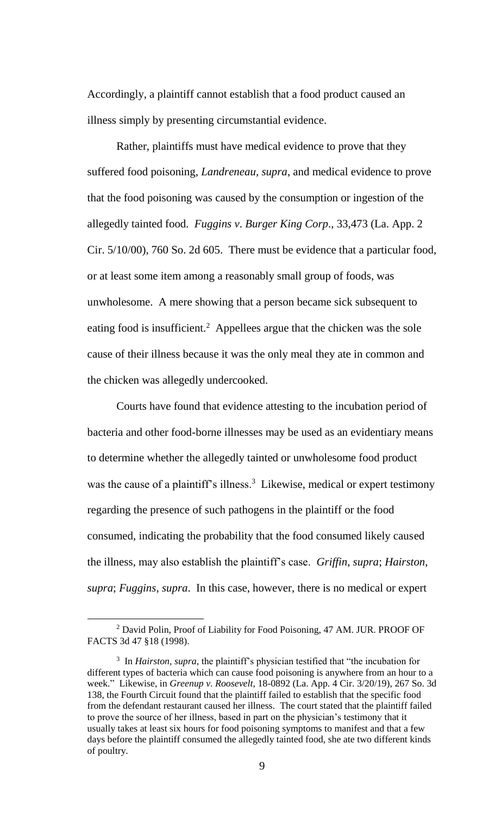Accordingly, a plaintiff cannot establish that a food product caused an illness simply by presenting circumstantial evidence.

Rather, plaintiffs must have medical evidence to prove that they suffered food poisoning, *Landreneau*, *supra*, and medical evidence to prove that the food poisoning was caused by the consumption or ingestion of the allegedly tainted food. *Fuggins v*. *Burger King Corp*., 33,473 (La. App. 2 Cir. 5/10/00), 760 So. 2d 605. There must be evidence that a particular food, or at least some item among a reasonably small group of foods, was unwholesome. A mere showing that a person became sick subsequent to eating food is insufficient.<sup>2</sup> Appellees argue that the chicken was the sole cause of their illness because it was the only meal they ate in common and the chicken was allegedly undercooked.

Courts have found that evidence attesting to the incubation period of bacteria and other food-borne illnesses may be used as an evidentiary means to determine whether the allegedly tainted or unwholesome food product was the cause of a plaintiff's illness.<sup>3</sup> Likewise, medical or expert testimony regarding the presence of such pathogens in the plaintiff or the food consumed, indicating the probability that the food consumed likely caused the illness, may also establish the plaintiff's case. *Griffin*, *supra*; *Hairston*, *supra*; *Fuggins*, *supra*. In this case, however, there is no medical or expert

l

<sup>&</sup>lt;sup>2</sup> David Polin, Proof of Liability for Food Poisoning, 47 AM. JUR. PROOF OF FACTS 3d 47 §18 (1998).

<sup>&</sup>lt;sup>3</sup> In *Hairston, supra,* the plaintiff's physician testified that "the incubation for different types of bacteria which can cause food poisoning is anywhere from an hour to a week." Likewise, in *Greenup v*. *Roosevelt*, 18-0892 (La. App. 4 Cir. 3/20/19), 267 So. 3d 138, the Fourth Circuit found that the plaintiff failed to establish that the specific food from the defendant restaurant caused her illness. The court stated that the plaintiff failed to prove the source of her illness, based in part on the physician's testimony that it usually takes at least six hours for food poisoning symptoms to manifest and that a few days before the plaintiff consumed the allegedly tainted food, she ate two different kinds of poultry.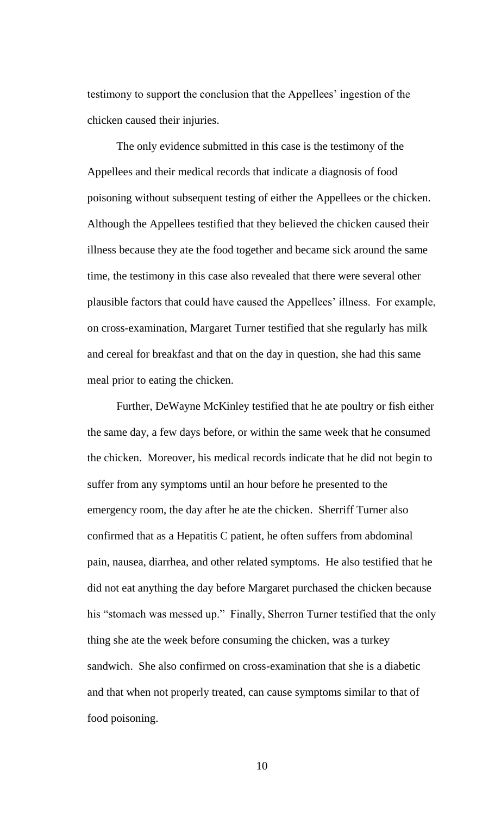testimony to support the conclusion that the Appellees' ingestion of the chicken caused their injuries.

The only evidence submitted in this case is the testimony of the Appellees and their medical records that indicate a diagnosis of food poisoning without subsequent testing of either the Appellees or the chicken. Although the Appellees testified that they believed the chicken caused their illness because they ate the food together and became sick around the same time, the testimony in this case also revealed that there were several other plausible factors that could have caused the Appellees' illness. For example, on cross-examination, Margaret Turner testified that she regularly has milk and cereal for breakfast and that on the day in question, she had this same meal prior to eating the chicken.

Further, DeWayne McKinley testified that he ate poultry or fish either the same day, a few days before, or within the same week that he consumed the chicken. Moreover, his medical records indicate that he did not begin to suffer from any symptoms until an hour before he presented to the emergency room, the day after he ate the chicken. Sherriff Turner also confirmed that as a Hepatitis C patient, he often suffers from abdominal pain, nausea, diarrhea, and other related symptoms. He also testified that he did not eat anything the day before Margaret purchased the chicken because his "stomach was messed up." Finally, Sherron Turner testified that the only thing she ate the week before consuming the chicken, was a turkey sandwich. She also confirmed on cross-examination that she is a diabetic and that when not properly treated, can cause symptoms similar to that of food poisoning.